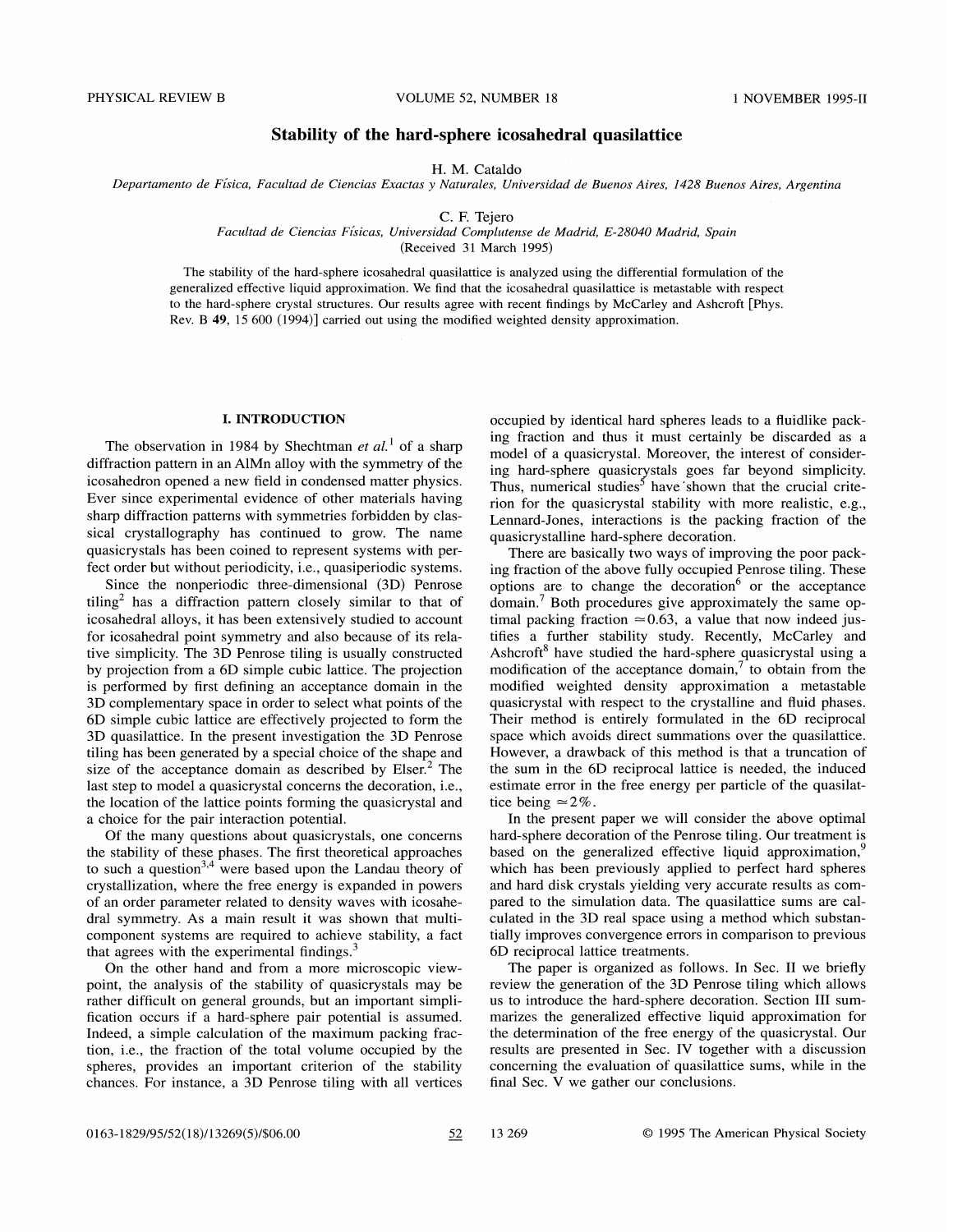# Stability of the hard-sphere icosahedral quasilattice

H. M. Cataldo

Departamento de Física, Facultad de Ciencias Exactas y Naturales, Universidad de Buenos Aires, 1428 Buenos Aires, Argentina

C. F. Tejero

Facultad de Ciencias Fisicas, Universidad Complutense de Madrid, E-28040 Madrid, Spain

(Received 31 March 1995)

The stability of the hard-sphere icosahedral quasilattice is analyzed using the differential formulation of the generalized effective liquid approximation. We find that the icosahedral quasilattice is metastable with respect to the hard-sphere crystal structures. Our results agree with recent findings by McCarley and Ashcroft [Phys. Rev. B 49, 15 600 (1994)] carried out using the modified weighted density approximation.

# I. INTRODUCTION

The observation in 1984 by Shechtman et  $al$ <sup>1</sup> of a sharp diffraction pattern in an AlMn alloy with the symmetry of the icosahedron opened a new field in condensed matter physics. Ever since experimental evidence of other materials having sharp diffraction patterns with symmetries forbidden by classical crystallography has continued to grow. The name quasicrystals has been coined to represent systems with perfect order but without periodicity, i.e., quasiperiodic systems.

Since the nonperiodic three-dimensional (3D) Penrose  $tiling<sup>2</sup>$  has a diffraction pattern closely similar to that of icosahedral alloys, it has been extensively studied to account for icosahedral point symmetry and also because of its relative simplicity. The 3D Penrose tiling is usually constructed by projection from a 6D simple cubic lattice. The projection is performed by first defining an acceptance domain in the 3D complementary space in order to select what points of the 6D simple cubic lattice are effectively projected to form the 3D quasilattice. In the present investigation the 3D Penrose tiling has been generated by a special choice of the shape and size of the acceptance domain as described by  $E$ lser.<sup>2</sup> The last step to model a quasicrystal concerns the decoration, i.e., the location of the lattice points forming the quasicrystal and a choice for the pair interaction potential.

Of the many questions about quasicrystals, one concerns the stability of these phases. The first theoretical approaches to such a question  $3,4$  were based upon the Landau theory of crystallization, where the free energy is expanded in powers of an order parameter related to density waves with icosahedral symmetry. As a main result it was shown that multicomponent systems are required to achieve stability, a fact that agrees with the experimental findings.<sup>3</sup>

On the other hand and from a more microscopic viewpoint, the analysis of the stability of quasicrystals may be rather difficult on general grounds, but an important simplification occurs if a hard-sphere pair potential is assumed. Indeed, a simple calculation of the maximum packing fraction, i.e., the fraction of the total volume occupied by the spheres, provides an important criterion of the stability chances. For instance, a 3D Penrose tiling with all vertices occupied by identical hard spheres leads to a fluidlike packing fraction and thus it must certainly be discarded as a model of a quasicrystal. Moreover, the interest of considering hard-sphere quasicrystals goes far beyond simplicity. Thus, numerical studies<sup>5</sup> have shown that the crucial criterion for the quasicrystal stability with more realistic, e.g., Lennard-Jones, interactions is the packing fraction of the quasicrystalline hard-sphere decoration.

There are basically two ways of improving the poor packing fraction of the above fully occupied Penrose tiling. These options are to change the decoration  $6$  or the acceptance domain.<sup>7</sup> Both procedures give approximately the same optimal packing fraction  $\simeq 0.63$ , a value that now indeed justifies a further stability study. Recently, McCarley and Ashcroft<sup>8</sup> have studied the hard-sphere quasicrystal using a modification of the acceptance domain, $\frac{7}{1}$  to obtain from the modified weighted density approximation a metastable quasicrystal with respect to the crystalline and fluid phases. Their method is entirely formulated in the 6D reciprocal space which avoids direct summations over the quasilattice. However, a drawback of this method is that a truncation of the sum in the 6D reciprocal lattice is needed, the induced estimate error in the free energy per particle of the quasilattice being  $\simeq$  2%.

In the present paper we will consider the above optimal hard-sphere decoration of the Penrose tiling. Our treatment is based on the generalized effective liquid approximation,<sup>9</sup> which has been previously applied to perfect hard spheres and hard disk crystals yielding very accurate results as compared to the simulation data. The quasilattice sums are calculated in the 3D real space using a method which substantially improves convergence errors in comparison to previous 6D reciprocal lattice treatments.

The paper is organized as follows. In Sec. II we briefly review the generation of the 3D Penrose tiling which allows us to introduce the hard-sphere decoration. Section III summarizes the generalized effective liquid approximation for the determination of the free energy of the quasicrystal. Our results are presented in Sec. IV together with a discussion concerning the evaluation of quasilattice sums, while in the final Sec. V we gather our conclusions.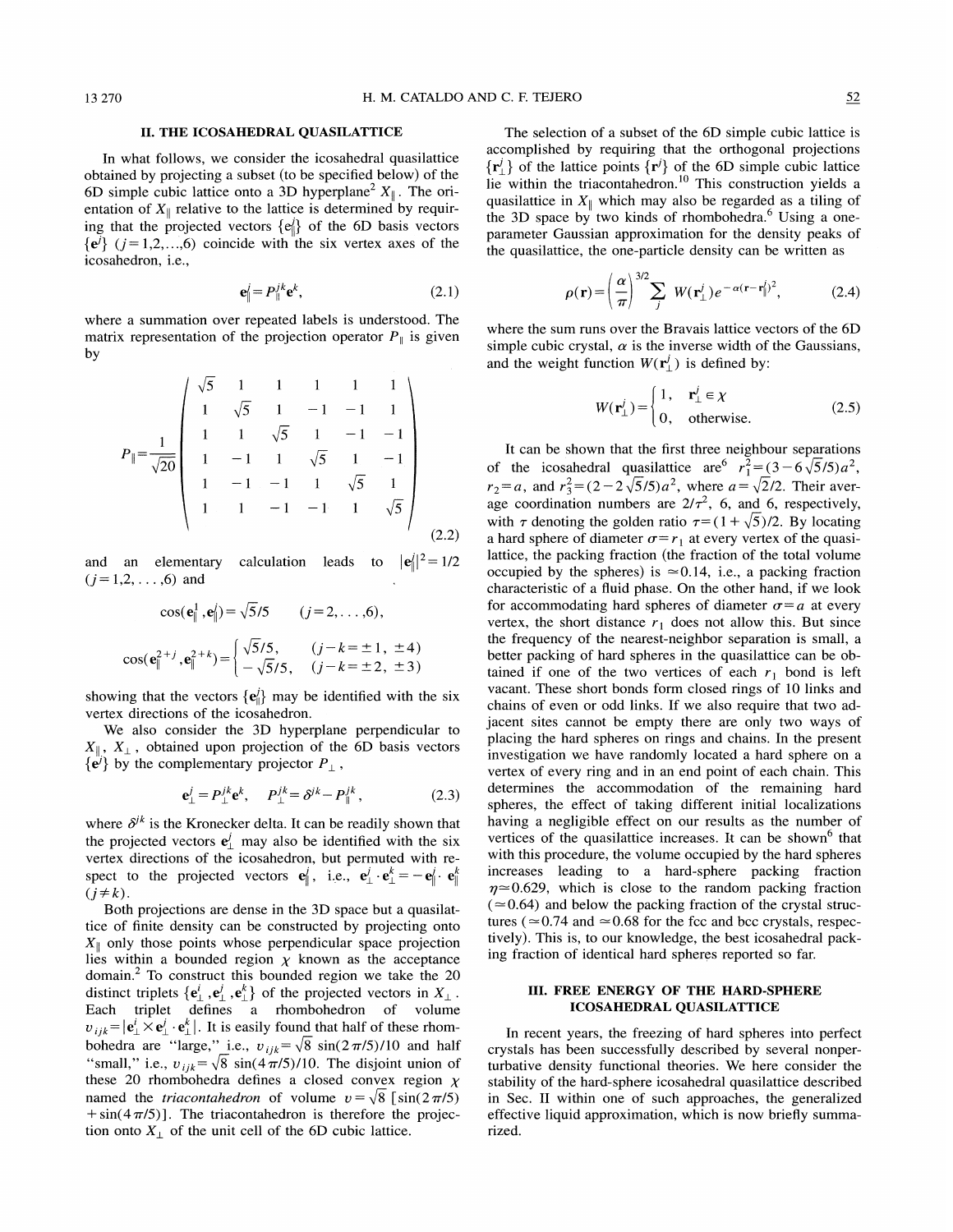## II. THE ICOSAHEDRAL QUASILATTICE

In what follows, we consider the icosahedral quasilattice obtained by projecting a subset (to be specified below) of the 6D simple cubic lattice onto a 3D hyperplane<sup>2</sup>  $X_{\parallel}$ . The orientation of  $X_{\parallel}$  relative to the lattice is determined by requiring that the projected vectors  $\{e_i\}$  of the 6D basis vectors  $\{e^{i}\}\ (j=1,2,...,6)$  coincide with the six vertex axes of the icosahedron, i.e.,

$$
\mathbf{e}_{\parallel}^j = P_{\parallel}^{jk} \mathbf{e}^k, \tag{2.1}
$$

where a summation over repeated labels is understood. The matrix representation of the projection operator  $P_{\parallel}$  is given by

$$
P_{\parallel} = \frac{1}{\sqrt{20}} \begin{pmatrix} \sqrt{5} & 1 & 1 & 1 & 1 & 1 \\ 1 & \sqrt{5} & 1 & -1 & -1 & 1 \\ 1 & 1 & \sqrt{5} & 1 & -1 & -1 \\ 1 & -1 & 1 & \sqrt{5} & 1 & -1 \\ 1 & -1 & -1 & 1 & \sqrt{5} & 1 \\ 1 & 1 & -1 & -1 & 1 & \sqrt{5} \end{pmatrix}
$$
(2.2)

and an elementary calculation leads to  $|{\bf e}^j_{\parallel}|^2 = 1/2$  $(j=1,2,\ldots,6)$  and

$$
\cos(\mathbf{e}_{\parallel}^{1}, \mathbf{e}_{\parallel}') = \sqrt{5}/5 \qquad (j = 2, ..., 6),
$$

$$
\cos(\mathbf{e}_{\parallel}^{2+j}, \mathbf{e}_{\parallel}^{2+k}) = \begin{cases} \sqrt{5}/5, & (j - k = \pm 1, \pm 4) \\ -\sqrt{5}/5, & (j - k = \pm 2, \pm 3) \end{cases}
$$

showing that the vectors  $\{e_{\parallel}^j\}$  may be identified with the six vertex directions of the icosahedron.

We also consider the 3D hyperplane perpendicular to  $X_{\parallel}$ ,  $X_{\perp}$ , obtained upon projection of the 6D basis vectors  $\{ \mathbf{e}^j \}$  by the complementary projector  $P_{\perp}$ ,<br>  $\mathbf{e}^j_{\perp} = P_{\perp}^{jk} \mathbf{e}^k$ ,  $P_{\perp}^{jk} = \delta^{jk} - P_{\parallel}^{jk}$ , (2.3)

$$
\mathbf{e}^j_{\perp} = P^{jk}_{\perp} \mathbf{e}^k, \quad P^{jk}_{\perp} = \delta^{jk} - P^{jk}_{\parallel}, \tag{2.3}
$$

where  $\delta^{jk}$  is the Kronecker delta. It can be readily shown that the projected vectors  $e^j$  may also be identified with the six vertex directions of the icosahedron, but permuted with respect to the projected vectors  $\mathbf{e}_{\parallel}^j$ , i.e.,  $\mathbf{e}_{\perp}^j \cdot \mathbf{e}_{\perp}^k = -\mathbf{e}_{\parallel}^j \cdot \mathbf{e}_{\parallel}^k$  $(j \neq k)$ .

Both projections are dense in the 3D space but a quasilattice of finite density can be constructed by projecting onto  $X_{\parallel}$  only those points whose perpendicular space projection lies within a bounded region  $\chi$  known as the acceptance domain. $2$  To construct this bounded region we take the 20 distinct triplets  $\{e^i_\perp, e^i_\perp, e^k_\perp\}$  of the projected vectors in  $X_\perp$ . Each triplet defines a rhombohedron of volume  $v_{ijk} = |e^i_{\perp} \times e^i_{\perp} \cdot e^k_{\perp}|$ . It is easily found that half of these rhombohedra are "large," i.e.,  $v_{ijk} = \sqrt{8} \sin(2\pi/5)/10$  and half "small," i.e.,  $v_{ijk} = \sqrt{8} \sin((4\pi/5)/10)$ . The disjoint union of these 20 rhombohedra defines a closed convex region  $\chi$ named the *triacontahedron* of volume  $v = \sqrt{8} \int \sin(2\pi/5)$  $+\sin(4\pi/5)$ . The triacontahedron is therefore the projection onto  $X_{\perp}$  of the unit cell of the 6D cubic lattice.

The selection of a subset of the 6D simple cubic lattice is accomplished by requiring that the orthogonal projections  $\{r^j\}$  of the lattice points  $\{r^j\}$  of the 6D simple cubic lattice lie within the triacontahedron.<sup>10</sup> This construction yields a quasilattice in  $X_{\parallel}$  which may also be regarded as a tiling of the 3D space by two kinds of rhombohedra.<sup>6</sup> Using a oneparameter Gaussian approximation for the density peaks of the quasilattice, the one-particle density can be written as

(2.1) 
$$
\rho(\mathbf{r}) = \left(\frac{\alpha}{\pi}\right)^{3/2} \sum_{j} W(\mathbf{r}_{\perp}^{j}) e^{-\alpha(\mathbf{r}-\mathbf{r}_{\parallel}^{j})^{2}}, \qquad (2.4)
$$

where the sum runs over the Bravais lattice vectors of the 6D simple cubic crystal,  $\alpha$  is the inverse width of the Gaussians, and the weight function  $W(\mathbf{r}^j)$  is defined by:

$$
W(\mathbf{r}_{\perp}^{j}) = \begin{cases} 1, & \mathbf{r}_{\perp}^{j} \in \mathcal{X} \\ 0, & \text{otherwise.} \end{cases}
$$
 (2.5)

It can be shown that the first three neighbour separations of the icosahedral quasilattice are  $r_1^2 = (3 - 6\sqrt{5}/5)a^2$ ,  $r_2 = a$ , and  $r_3^2 = (2 - 2\sqrt{5}/5)a^2$ , where  $a = \sqrt{2}/2$ . Their average coordination numbers are  $2/\tau^2$ , 6, and 6, respectively, with  $\tau$  denoting the golden ratio  $\tau = (1 + \sqrt{5})/2$ . By locating a hard sphere of diameter  $\sigma = r_1$  at every vertex of the quasilattice, the packing fraction (the fraction of the total volume occupied by the spheres) is  $\approx 0.14$ , i.e., a packing fraction characteristic of a fluid phase. On the other hand, if we look for accommodating hard spheres of diameter  $\sigma = a$  at every vertex, the short distance  $r_1$  does not allow this. But since the frequency of the nearest-neighbor separation is small, a better packing of hard spheres in the quasilattice can be obtained if one of the two vertices of each  $r_1$  bond is left vacant. These short bonds form closed rings of 10 links and chains of even or odd links. If we also require that two adjacent sites cannot be empty there are only two ways of placing the hard spheres on rings and chains. In the present investigation we have randomly located a hard sphere on a vertex of every ring and in an end point of each chain. This determines the accommodation of the remaining hard spheres, the effect of taking different initial localizations having a negligible effect on our results as the number of vertices of the quasilattice increases. It can be shown<sup>6</sup> that with this procedure, the volume occupied by the hard spheres increases leading to a hard-sphere packing fraction  $\eta \approx 0.629$ , which is close to the random packing fraction  $(0.64)$  and below the packing fraction of the crystal structures ( $\approx$  0.74 and  $\approx$  0.68 for the fcc and bcc crystals, respectively). This is, to our knowledge, the best icosahedral packing fraction of identical hard spheres reported so far.

## III. FREE ENERGY OF THE HARD-SPHERE ICOSAHEDRAL QUASILATTICE

In recent years, the freezing of hard spheres into perfect crystals has been successfully described by several nonperturbative density functional theories. We here consider the stability of the hard-sphere icosahedral quasilattice described in Sec. II within one of such approaches, the generalized effective liquid approximation, which is now briefly summarized.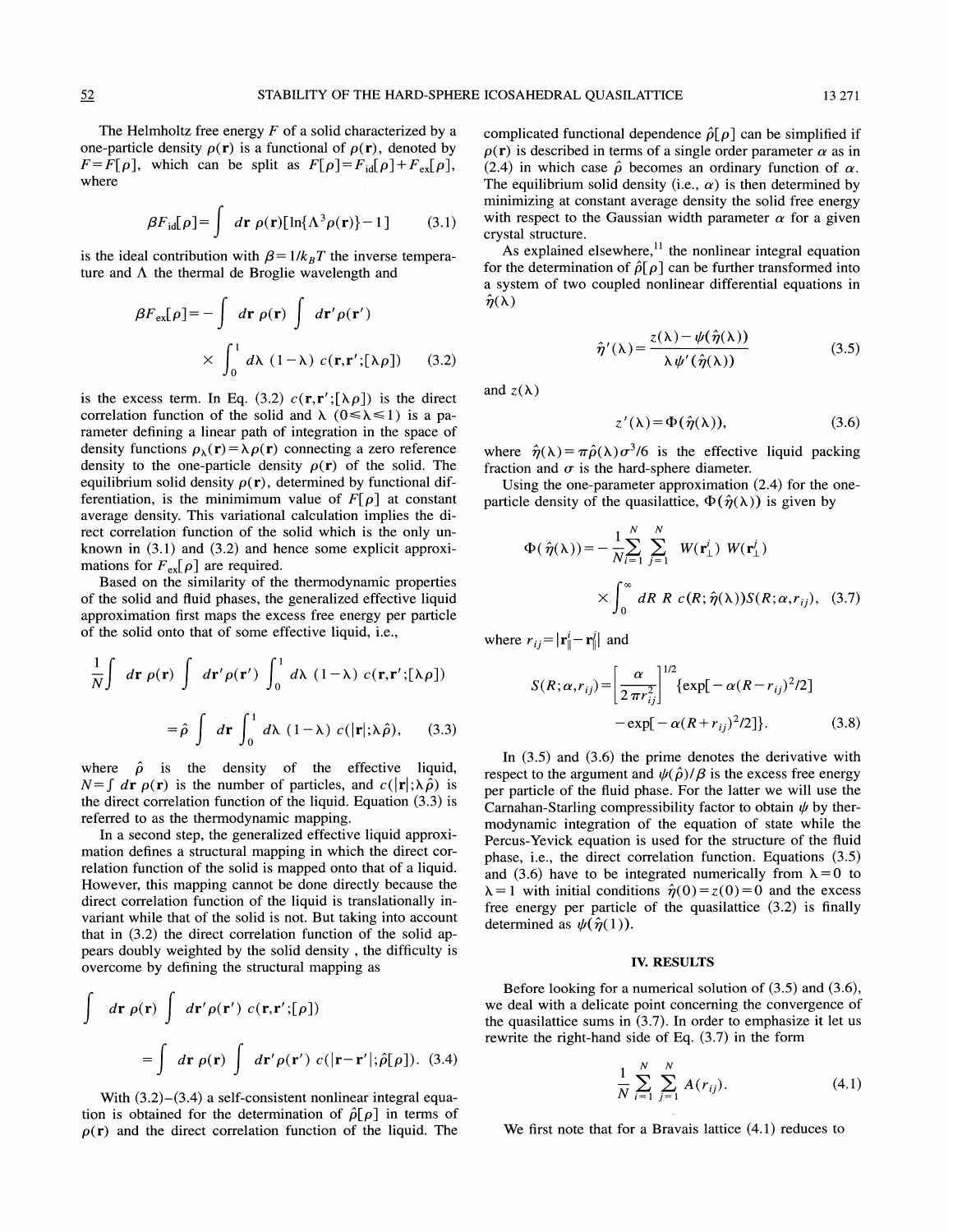The Helmholtz free energy  $F$  of a solid characterized by a one-particle density  $\rho(\mathbf{r})$  is a functional of  $\rho(\mathbf{r})$ , denoted by  $F = F[\rho]$ , which can be split as  $F[\rho] = F_{\text{id}}[\rho] + F_{\text{ex}}[\rho]$ , where

$$
\beta F_{\text{id}}[\rho] = \int d\mathbf{r} \; \rho(\mathbf{r}) [\ln{\{\Lambda^3 \rho(\mathbf{r})\}} - 1] \tag{3.1}
$$

is the ideal contribution with  $\beta = 1/k_BT$  the inverse temperature and  $\Lambda$  the thermal de Broglie wavelength and

$$
\beta F_{\text{ex}}[\rho] = -\int d\mathbf{r} \rho(\mathbf{r}) \int d\mathbf{r}' \rho(\mathbf{r}')
$$
  
 
$$
\times \int_0^1 d\lambda (1-\lambda) c(\mathbf{r}, \mathbf{r}';[\lambda \rho]) \qquad (3.2)
$$

is the excess term. In Eq. (3.2)  $c(\mathbf{r}, \mathbf{r}'; [\lambda \rho])$  is the direct correlation function of the solid and  $\lambda$  ( $0 \le \lambda \le 1$ ) is a parameter defining a linear path of integration in the space of density functions  $\rho_{\lambda}(\mathbf{r}) = \lambda \rho(\mathbf{r})$  connecting a zero reference density to the one-particle density  $\rho(r)$  of the solid. The equilibrium solid density  $\rho(\mathbf{r})$ , determined by functional differentiation, is the minimimum value of  $F[\rho]$  at constant average density. This variational calculation implies the direct correlation function of the solid which is the only unknown in (3.1) and (3.2) and hence some explicit approximations for  $F_{\text{ex}}[\rho]$  are required.

Based on the similarity of the thermodynamic properties of the solid and fluid phases, the generalized effective liquid approximation first maps the excess free energy per particle of the solid onto that of some effective liquid, i.e.,

$$
\frac{1}{N} \int d\mathbf{r} \rho(\mathbf{r}) \int d\mathbf{r}' \rho(\mathbf{r}') \int_0^1 d\lambda (1-\lambda) c(\mathbf{r}, \mathbf{r}';[\lambda \rho])
$$
  
\n
$$
= \hat{\rho} \int d\mathbf{r} \int_0^1 d\lambda (1-\lambda) c(|\mathbf{r}|; \lambda \hat{\rho}), \quad (3.3)
$$
  
\n
$$
= \exp[-\alpha
$$

where  $\hat{\rho}$  is the density of the effective liquid,  $N=\int d\mathbf{r} \rho(\mathbf{r})$  is the number of particles, and  $c(|\mathbf{r}|;\lambda \hat{\rho})$  is the direct correlation function of the liquid. Equation (3.3) is referred to as the thermodynamic mapping.

In a second step, the generalized effective liquid approximation defines a structural mapping in which the direct correlation function of the solid is mapped onto that of a liquid. However, this mapping cannot be done directly because the direct correlation function of the liquid is translationally invariant while that of the solid is not. But taking into account that in (3.2) the direct correlation function of the solid appears doubly weighted by the solid density, the difficulty is overcome by defining the structural mapping as

$$
\int d\mathbf{r} \rho(\mathbf{r}) \int d\mathbf{r}' \rho(\mathbf{r}') c(\mathbf{r}, \mathbf{r}';[\rho])
$$
  
= 
$$
\int d\mathbf{r} \rho(\mathbf{r}) \int d\mathbf{r}' \rho(\mathbf{r}') c(|\mathbf{r} - \mathbf{r}'|; \hat{\rho}[\rho]).
$$
 (3.4)

With  $(3.2)$ – $(3.4)$  a self-consistent nonlinear integral equation is obtained for the determination of  $\hat{\rho}[\rho]$  in terms of  $p(r)$  and the direct correlation function of the liquid. The

complicated functional dependence  $\hat{\rho}[\rho]$  can be simplified if  $\rho(\mathbf{r})$  is described in terms of a single order parameter  $\alpha$  as in (2.4) in which case  $\hat{\rho}$  becomes an ordinary function of  $\alpha$ . The equilibrium solid density (i.e.,  $\alpha$ ) is then determined by minimizing at constant average density the solid free energy with respect to the Gaussian width parameter  $\alpha$  for a given crystal structure. stal structure.<br>As explained elsewhere,<sup>11</sup> the nonlinear integral equation

for the determination of  $\hat{\rho}[\rho]$  can be further transformed into a system of two coupled nonlinear differential equations in  $\hat{\eta}(\lambda)$ 

$$
\hat{\eta}'(\lambda) = \frac{z(\lambda) - \psi(\hat{\eta}(\lambda))}{\lambda \psi'(\hat{\eta}(\lambda))}
$$
(3.5)

and  $z(\lambda)$ 

$$
z'(\lambda) = \Phi(\hat{\eta}(\lambda)), \qquad (3.6)
$$

where  $\hat{\eta}(\lambda) = \pi \hat{\rho}(\lambda) \sigma^3/6$  is the effective liquid packing fraction and  $\sigma$  is the hard-sphere diameter.

Using the one-parameter approximation (2.4) for the oneparticle density of the quasilattice,  $\Phi(\hat{\eta}(\lambda))$  is given by

$$
\Phi(\hat{\eta}(\lambda)) = -\frac{1}{N} \sum_{i=1}^{N} \sum_{j=1}^{N} W(\mathbf{r}_{\perp}^{i}) W(\mathbf{r}_{\perp}^{j})
$$

$$
\times \int_{0}^{\infty} dR \, R \, c(R; \hat{\eta}(\lambda)) S(R; \alpha, r_{ij}), \quad (3.7)
$$

where  $r_{ij} = |\mathbf{r}_{\parallel}^{i} - \mathbf{r}_{\parallel}^{j}|$  and

$$
S(R; \alpha, r_{ij}) = \left[\frac{\alpha}{2 \pi r_{ij}^2}\right]^{1/2} \{ \exp[-\alpha (R - r_{ij})^2 / 2] - \exp[-\alpha (R + r_{ij})^2 / 2] \}.
$$
 (3.8)

In (3.5) and (3.6) the prime denotes the derivative with respect to the argument and  $\psi(\hat{\rho})/\beta$  is the excess free energy per particle of the fluid phase. For the latter we will use the Carnahan-Starling compressibility factor to obtain  $\psi$  by thermodynamic integration of the equation of state while the Percus-Yevick equation is used for the structure of the fluid phase, i.e., the direct correlation function. Equations (3.5) and (3.6) have to be integrated numerically from  $\lambda = 0$  to  $\lambda = 1$  with initial conditions  $\hat{\eta}(0) = z(0) = 0$  and the excess free energy per particle of the quasilattice (3.2) is finally determined as  $\psi(\hat{\eta}(1))$ .

## IV. RESULTS

Before looking for a numerical solution of (3.5) and (3.6), we deal with a delicate point concerning the convergence of the quasilattice sums in (3.7). In order to emphasize it let us rewrite the right-hand side of Eq. (3.7) in the form

$$
\frac{1}{N} \sum_{i=1}^{N} \sum_{j=1}^{N} A(r_{ij}).
$$
\n(4.1)

We first note that for a Bravais lattice (4.1) reduces to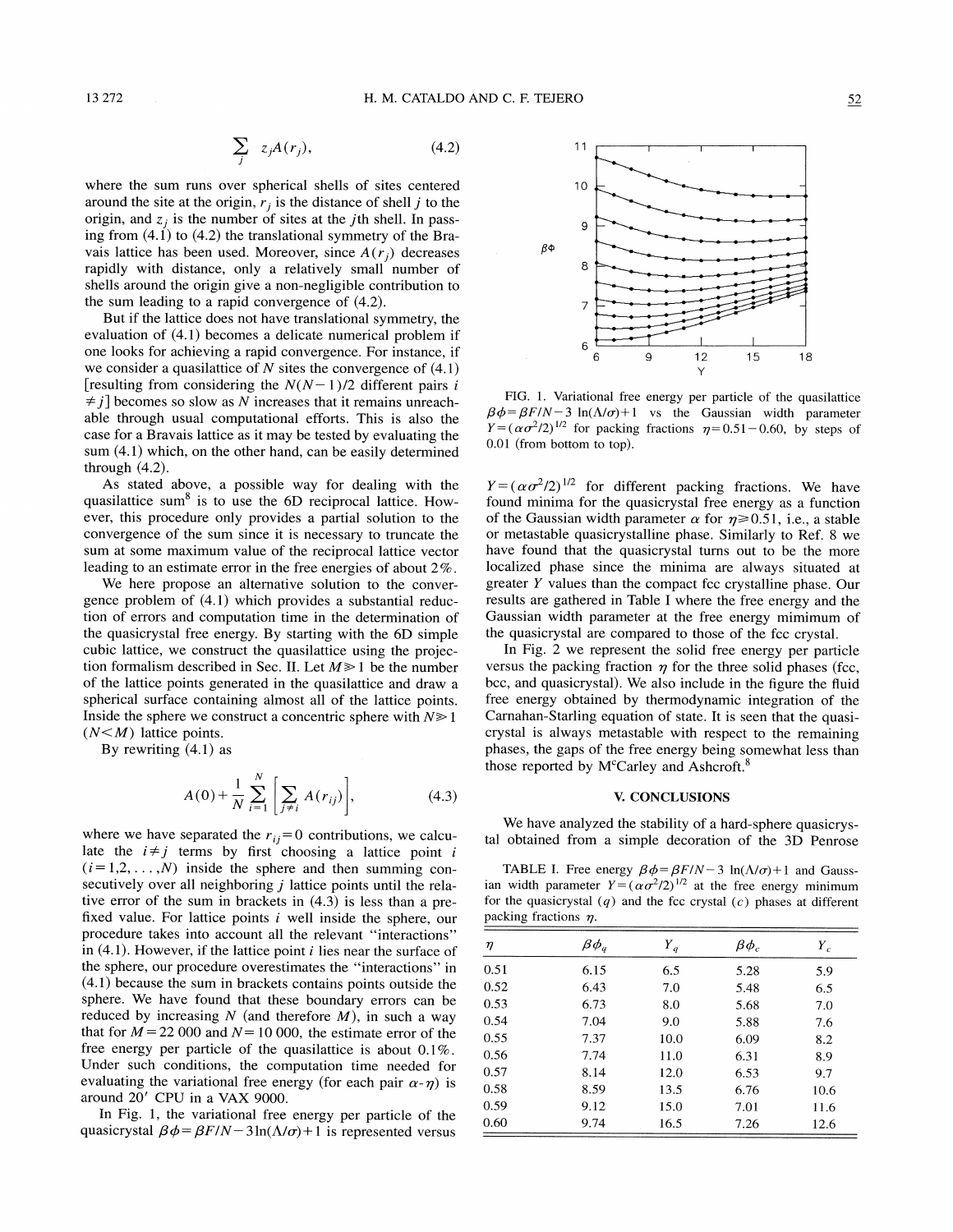$$
\sum_{j} z_{j}A(r_{j}), \qquad (4.2)
$$

where the sum runs over spherical shells of sites centered around the site at the origin,  $r_i$  is the distance of shell j to the origin, and  $z_i$  is the number of sites at the *j*th shell. In passing from  $(4.1)$  to  $(4.2)$  the translational symmetry of the Bravais lattice has been used. Moreover, since  $A(r_i)$  decreases rapidly with distance, only a relatively small number of shells around the origin give a non-negligible contribution to the sum leading to a rapid convergence of (4.2).

But if the lattice does not have translational symmetry, the evaluation of (4.1) becomes a delicate numerical problem if one looks for achieving a rapid convergence. For instance, if we consider a quasilattice of  $N$  sites the convergence of  $(4.1)$ [resulting from considering the  $N(N-1)/2$  different pairs i  $\neq j$ ] becomes so slow as N increases that it remains unreachable through usual computational efforts. This is also the case for a Bravais lattice as it may be tested by evaluating the sum (4.1) which, on the other hand, can be easily determined through (4.2).

As stated above, a possible way for dealing with the quasilattice sum $<sup>8</sup>$  is to use the 6D reciprocal lattice. How-</sup> ever, this procedure only provides a partial solution to the convergence of the sum since it is necessary to truncate the sum at some maximum value of the reciprocal lattice vector leading to an estimate error in the free energies of about 2%.

We here propose an alternative solution to the convergence problem of (4.1) which provides a substantial reduction of errors and computation time in the determination of the quasicrystal free energy. By starting with the 6D simple cubic lattice, we construct the quasilattice using the projection formalism described in Sec. II. Let  $M \ge 1$  be the number of the lattice points generated in the quasilattice and draw a spherical surface containing almost all of the lattice points. Inside the sphere we construct a concentric sphere with  $N \ge 1$  $(N<sub>M</sub>)$  lattice points.

By rewriting (4.1) as

$$
A(0) + \frac{1}{N} \sum_{i=1}^{N} \left[ \sum_{j \neq i} A(r_{ij}) \right],
$$
 (4.3)

where we have separated the  $r_{ij}=0$  contributions, we calculate the  $i \neq j$  terms by first choosing a lattice point i  $(i=1,2,\ldots,N)$  inside the sphere and then summing consecutively over all neighboring  $j$  lattice points until the relative error of the sum in brackets in (4.3) is less than a prefixed value. For lattice points  $i$  well inside the sphere, our procedure takes into account all the relevant "interactions" in  $(4.1)$ . However, if the lattice point *i* lies near the surface of the sphere, our procedure overestimates the "interactions" in (4.1) because the sum in brackets contains points outside the sphere. We have found that these boundary errors can be reduced by increasing  $N$  (and therefore  $M$ ), in such a way that for  $M = 22000$  and  $N = 10000$ , the estimate error of the free energy per particle of the quasilattice is about 0.1%. Under such conditions, the computation time needed for evaluating the variational free energy (for each pair  $\alpha$ - $\eta$ ) is around 20' CPU in a VAX 9000.

In Fig. 1, the variational free energy per particle of the quasicrystal  $\beta \phi = \beta F/N - 3\ln(\Lambda/\sigma) + 1$  is represented versus



FIG. 1. Variational free energy per particle of the quasilattice  $\beta \phi = \beta F/N - 3 \ln(\Lambda/\sigma) + 1$  vs the Gaussian width parameter  $Y=(\alpha \sigma^2/2)^{1/2}$  for packing fractions  $\eta=0.51-0.60$ , by steps of 0.01 (from bottom to top).

 $Y = (\alpha \sigma^2 / 2)^{1/2}$  for different packing fractions. We have found minima for the quasicrystal free energy as a function of the Gaussian width parameter  $\alpha$  for  $\eta \ge 0.51$ , i.e., a stable or metastable quasicrystalline phase. Similarly to Ref. 8 we have found that the quasicrystal turns out to be the more localized phase since the minima are always situated at greater  $Y$  values than the compact fcc crystalline phase. Our results are gathered in Table I where the free energy and the Gaussian width parameter at the free energy mimimum of the quasicrystal are compared to those of the fcc crystal.

In Fig. 2 we represent the solid free energy per particle versus the packing fraction  $\eta$  for the three solid phases (fcc, bcc, and quasicrystal). We also include in the figure the fluid free energy obtained by thermodynamic integration of the Carnahan-Starling equation of state. It is seen that the quasicrystal is always metastable with respect to the remaining phases, the gaps of the free energy being somewhat less than those reported by M<sup>c</sup>Carley and Ashcroft.<sup>8</sup>

#### V. CONCLUSIONS

We have analyzed the stability of a hard-sphere quasicrystal obtained from a simple decoration of the 3D Penrose

TABLE I. Free energy  $\beta \phi = \beta F/N - 3 \ln(\Lambda/\sigma) + 1$  and Gaussian width parameter  $Y=(\alpha \sigma^2/2)^{1/2}$  at the free energy minimum for the quasicrystal  $(q)$  and the fcc crystal  $(c)$  phases at different packing fractions  $\eta$ .

| η    | $\beta\phi_{\scriptscriptstyle q}$ | $\boldsymbol{Y}_q$ | $\beta\phi_c$ | $Y_c$ |  |
|------|------------------------------------|--------------------|---------------|-------|--|
| 0.51 | 6.15                               | 6.5                | 5.28          | 5.9   |  |
| 0.52 | 6.43                               | 7.0                | 5.48          | 6.5   |  |
| 0.53 | 6.73                               | 8.0                | 5.68          | 7.0   |  |
| 0.54 | 7.04                               | 9.0                | 5.88          | 7.6   |  |
| 0.55 | 7.37                               | 10.0               | 6.09          | 8.2   |  |
| 0.56 | 7.74                               | 11.0               | 6.31          | 8.9   |  |
| 0.57 | 8.14                               | 12.0               | 6.53          | 9.7   |  |
| 0.58 | 8.59                               | 13.5               | 6.76          | 10.6  |  |
| 0.59 | 9.12                               | 15.0               | 7.01          | 11.6  |  |
| 0.60 | 9.74                               | 16.5               | 7.26          | 12.6  |  |